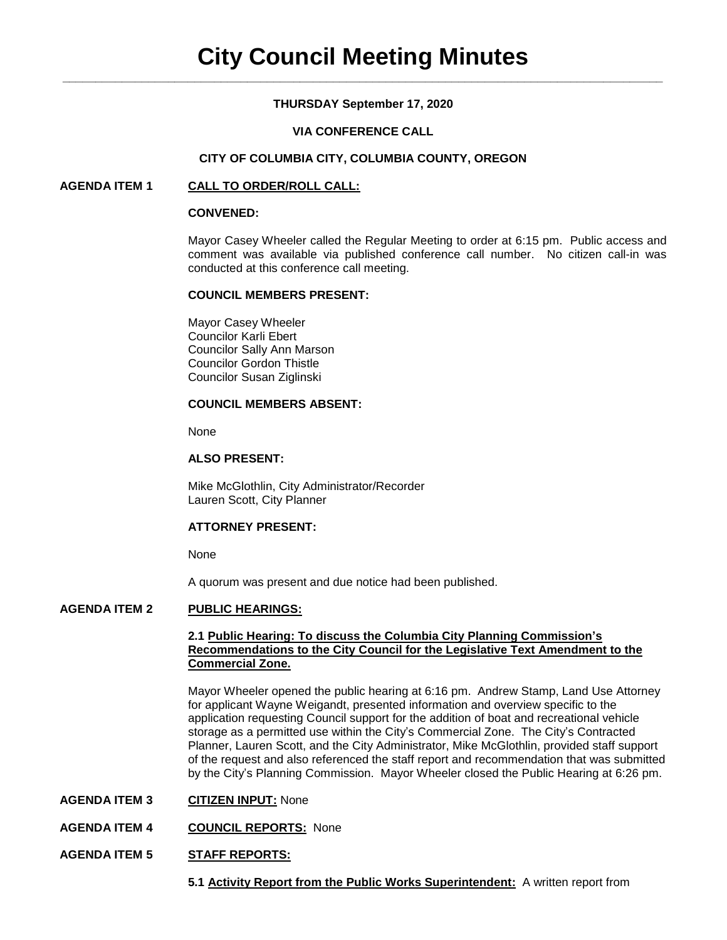## **THURSDAY September 17, 2020**

### **VIA CONFERENCE CALL**

#### **CITY OF COLUMBIA CITY, COLUMBIA COUNTY, OREGON**

## **AGENDA ITEM 1 CALL TO ORDER/ROLL CALL:**

#### **CONVENED:**

Mayor Casey Wheeler called the Regular Meeting to order at 6:15 pm. Public access and comment was available via published conference call number. No citizen call-in was conducted at this conference call meeting.

#### **COUNCIL MEMBERS PRESENT:**

Mayor Casey Wheeler Councilor Karli Ebert Councilor Sally Ann Marson Councilor Gordon Thistle Councilor Susan Ziglinski

## **COUNCIL MEMBERS ABSENT:**

None

## **ALSO PRESENT:**

Mike McGlothlin, City Administrator/Recorder Lauren Scott, City Planner

### **ATTORNEY PRESENT:**

None

A quorum was present and due notice had been published.

# **AGENDA ITEM 2 PUBLIC HEARINGS:**

### **2.1 Public Hearing: To discuss the Columbia City Planning Commission's Recommendations to the City Council for the Legislative Text Amendment to the Commercial Zone.**

Mayor Wheeler opened the public hearing at 6:16 pm. Andrew Stamp, Land Use Attorney for applicant Wayne Weigandt, presented information and overview specific to the application requesting Council support for the addition of boat and recreational vehicle storage as a permitted use within the City's Commercial Zone. The City's Contracted Planner, Lauren Scott, and the City Administrator, Mike McGlothlin, provided staff support of the request and also referenced the staff report and recommendation that was submitted by the City's Planning Commission. Mayor Wheeler closed the Public Hearing at 6:26 pm.

- **AGENDA ITEM 3 CITIZEN INPUT:** None
- **AGENDA ITEM 4 COUNCIL REPORTS:** None
- **AGENDA ITEM 5 STAFF REPORTS:**
	- **5.1 Activity Report from the Public Works Superintendent:** A written report from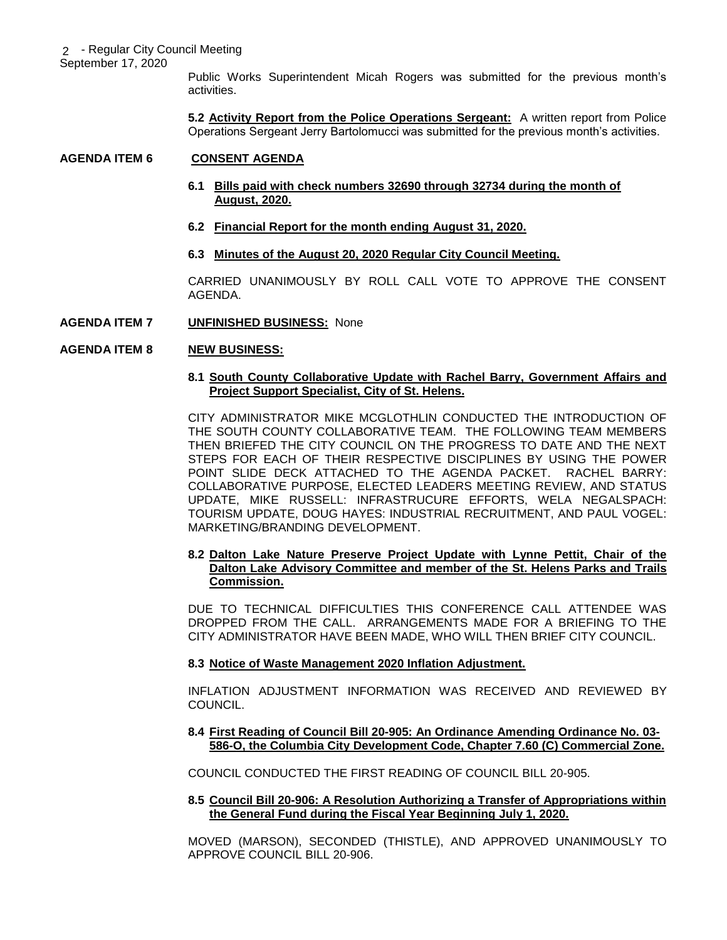September 17, 2020

Public Works Superintendent Micah Rogers was submitted for the previous month's activities.

**5.2 Activity Report from the Police Operations Sergeant:** A written report from Police Operations Sergeant Jerry Bartolomucci was submitted for the previous month's activities.

# **AGENDA ITEM 6 CONSENT AGENDA**

# **6.1 Bills paid with check numbers 32690 through 32734 during the month of August, 2020.**

- **6.2 Financial Report for the month ending August 31, 2020.**
- **6.3 Minutes of the August 20, 2020 Regular City Council Meeting.**

CARRIED UNANIMOUSLY BY ROLL CALL VOTE TO APPROVE THE CONSENT AGENDA.

# **AGENDA ITEM 7 UNFINISHED BUSINESS:** None

# **AGENDA ITEM 8 NEW BUSINESS:**

### **8.1 South County Collaborative Update with Rachel Barry, Government Affairs and Project Support Specialist, City of St. Helens.**

CITY ADMINISTRATOR MIKE MCGLOTHLIN CONDUCTED THE INTRODUCTION OF THE SOUTH COUNTY COLLABORATIVE TEAM. THE FOLLOWING TEAM MEMBERS THEN BRIEFED THE CITY COUNCIL ON THE PROGRESS TO DATE AND THE NEXT STEPS FOR EACH OF THEIR RESPECTIVE DISCIPLINES BY USING THE POWER POINT SLIDE DECK ATTACHED TO THE AGENDA PACKET. RACHEL BARRY: COLLABORATIVE PURPOSE, ELECTED LEADERS MEETING REVIEW, AND STATUS UPDATE, MIKE RUSSELL: INFRASTRUCURE EFFORTS, WELA NEGALSPACH: TOURISM UPDATE, DOUG HAYES: INDUSTRIAL RECRUITMENT, AND PAUL VOGEL: MARKETING/BRANDING DEVELOPMENT.

## **8.2 Dalton Lake Nature Preserve Project Update with Lynne Pettit, Chair of the Dalton Lake Advisory Committee and member of the St. Helens Parks and Trails Commission.**

DUE TO TECHNICAL DIFFICULTIES THIS CONFERENCE CALL ATTENDEE WAS DROPPED FROM THE CALL. ARRANGEMENTS MADE FOR A BRIEFING TO THE CITY ADMINISTRATOR HAVE BEEN MADE, WHO WILL THEN BRIEF CITY COUNCIL.

### **8.3 Notice of Waste Management 2020 Inflation Adjustment.**

INFLATION ADJUSTMENT INFORMATION WAS RECEIVED AND REVIEWED BY COUNCIL.

### **8.4 First Reading of Council Bill 20-905: An Ordinance Amending Ordinance No. 03- 586-O, the Columbia City Development Code, Chapter 7.60 (C) Commercial Zone.**

COUNCIL CONDUCTED THE FIRST READING OF COUNCIL BILL 20-905.

# **8.5 Council Bill 20-906: A Resolution Authorizing a Transfer of Appropriations within the General Fund during the Fiscal Year Beginning July 1, 2020.**

MOVED (MARSON), SECONDED (THISTLE), AND APPROVED UNANIMOUSLY TO APPROVE COUNCIL BILL 20-906.